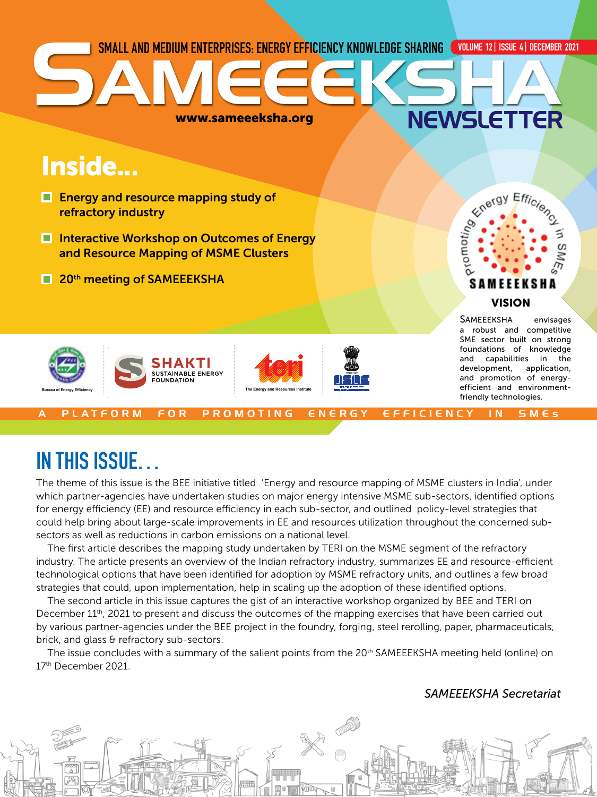

## IN THIS ISSUE…

The theme of this issue is the BEE initiative titled 'Energy and resource mapping of MSME clusters in India', under which partner-agencies have undertaken studies on major energy intensive MSME sub-sectors, identified options for energy efficiency (EE) and resource efficiency in each sub-sector, and outlined policy-level strategies that could help bring about large-scale improvements in EE and resources utilization throughout the concerned subsectors as well as reductions in carbon emissions on a national level.

The first article describes the mapping study undertaken by TERI on the MSME segment of the refractory industry. The article presents an overview of the Indian refractory industry, summarizes EE and resource-efficient technological options that have been identified for adoption by MSME refractory units, and outlines a few broad strategies that could, upon implementation, help in scaling up the adoption of these identified options.

The second article in this issue captures the gist of an interactive workshop organized by BEE and TERI on December 11<sup>th</sup>, 2021 to present and discuss the outcomes of the mapping exercises that have been carried out by various partner-agencies under the BEE project in the foundry, forging, steel rerolling, paper, pharmaceuticals, brick, and glass & refractory sub-sectors.

The issue concludes with a summary of the salient points from the 20<sup>th</sup> SAMEEEKSHA meeting held (online) on 17th December 2021.

### *SAMEEEKSHA Secretariat*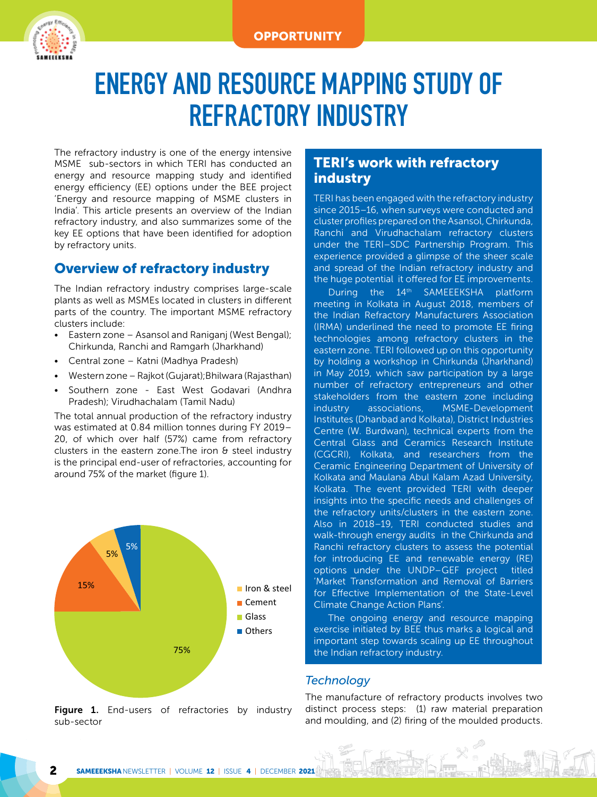

## ENERGY AND RESOURCE MAPPING STUDY OF REFRACTORY INDUSTRY

The refractory industry is one of the energy intensive MSME sub-sectors in which TERI has conducted an energy and resource mapping study and identified energy efficiency (EE) options under the BEE project 'Energy and resource mapping of MSME clusters in India'. This article presents an overview of the Indian refractory industry, and also summarizes some of the key EE options that have been identified for adoption by refractory units.

## Overview of refractory industry

The Indian refractory industry comprises large-scale plants as well as MSMEs located in clusters in different parts of the country. The important MSME refractory clusters include:

- Eastern zone Asansol and Raniganj (West Bengal); Chirkunda, Ranchi and Ramgarh (Jharkhand)
- Central zone Katni (Madhya Pradesh)
- Western zone Rajkot (Gujarat);Bhilwara (Rajasthan)
- Southern zone East West Godavari (Andhra Pradesh); Virudhachalam (Tamil Nadu)

The total annual production of the refractory industry was estimated at 0.84 million tonnes during FY 2019– 20, of which over half (57%) came from refractory clusters in the eastern zone. The iron  $\theta$  steel industry is the principal end-user of refractories, accounting for around 75% of the market (figure 1).



#### Figure 1. End-users of refractories by industry sub-sector

### TERI's work with refractory industry

TERI has been engaged with the refractory industry since 2015–16, when surveys were conducted and cluster profiles prepared on the Asansol, Chirkunda, Ranchi and Virudhachalam refractory clusters under the TERI–SDC Partnership Program. This experience provided a glimpse of the sheer scale and spread of the Indian refractory industry and the huge potential it offered for EE improvements.

During the 14<sup>th</sup> SAMEEEKSHA platform meeting in Kolkata in August 2018, members of the Indian Refractory Manufacturers Association (IRMA) underlined the need to promote EE firing technologies among refractory clusters in the eastern zone. TERI followed up on this opportunity by holding a workshop in Chirkunda (Jharkhand) in May 2019, which saw participation by a large number of refractory entrepreneurs and other stakeholders from the eastern zone including industry associations, MSME-Development Institutes (Dhanbad and Kolkata), District Industries Centre (W. Burdwan), technical experts from the Central Glass and Ceramics Research Institute (CGCRI), Kolkata, and researchers from the Ceramic Engineering Department of University of Kolkata and Maulana Abul Kalam Azad University, Kolkata. The event provided TERI with deeper insights into the specific needs and challenges of the refractory units/clusters in the eastern zone. Also in 2018–19, TERI conducted studies and walk-through energy audits in the Chirkunda and Ranchi refractory clusters to assess the potential for introducing EE and renewable energy (RE) options under the UNDP–GEF project titled 'Market Transformation and Removal of Barriers for Effective Implementation of the State-Level Climate Change Action Plans'.

The ongoing energy and resource mapping exercise initiated by BEE thus marks a logical and important step towards scaling up EE throughout the Indian refractory industry.

#### *Technology*

The manufacture of refractory products involves two distinct process steps: (1) raw material preparation and moulding, and (2) firing of the moulded products.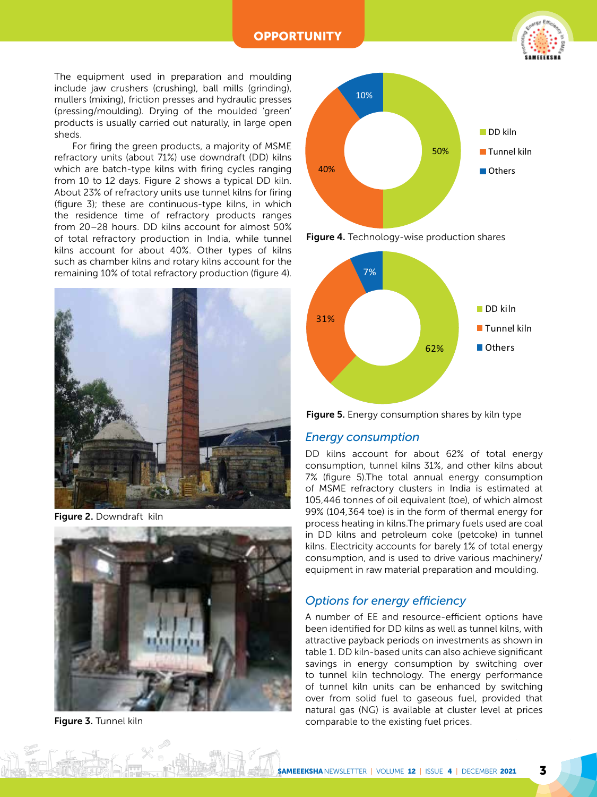**OPPORTUNITY** 



The equipment used in preparation and moulding include jaw crushers (crushing), ball mills (grinding), mullers (mixing), friction presses and hydraulic presses (pressing/moulding). Drying of the moulded 'green' products is usually carried out naturally, in large open sheds.

For firing the green products, a majority of MSME refractory units (about 71%) use downdraft (DD) kilns which are batch-type kilns with firing cycles ranging from 10 to 12 days. Figure 2 shows a typical DD kiln. About 23% of refractory units use tunnel kilns for firing (figure 3); these are continuous-type kilns, in which the residence time of refractory products ranges from 20–28 hours. DD kilns account for almost 50% of total refractory production in India, while tunnel kilns account for about 40%. Other types of kilns such as chamber kilns and rotary kilns account for the remaining 10% of total refractory production (figure 4).



Figure 2. Downdraft kiln



Figure 3. Tunnel kiln









#### *Energy consumption*

DD kilns account for about 62% of total energy consumption, tunnel kilns 31%, and other kilns about 7% (figure 5).The total annual energy consumption of MSME refractory clusters in India is estimated at 105,446 tonnes of oil equivalent (toe), of which almost 99% (104,364 toe) is in the form of thermal energy for process heating in kilns.The primary fuels used are coal in DD kilns and petroleum coke (petcoke) in tunnel kilns. Electricity accounts for barely 1% of total energy consumption, and is used to drive various machinery/ equipment in raw material preparation and moulding.

#### *Options for energy efficiency*

A number of EE and resource-efficient options have been identified for DD kilns as well as tunnel kilns, with attractive payback periods on investments as shown in table 1. DD kiln-based units can also achieve significant savings in energy consumption by switching over to tunnel kiln technology. The energy performance of tunnel kiln units can be enhanced by switching over from solid fuel to gaseous fuel, provided that natural gas (NG) is available at cluster level at prices comparable to the existing fuel prices.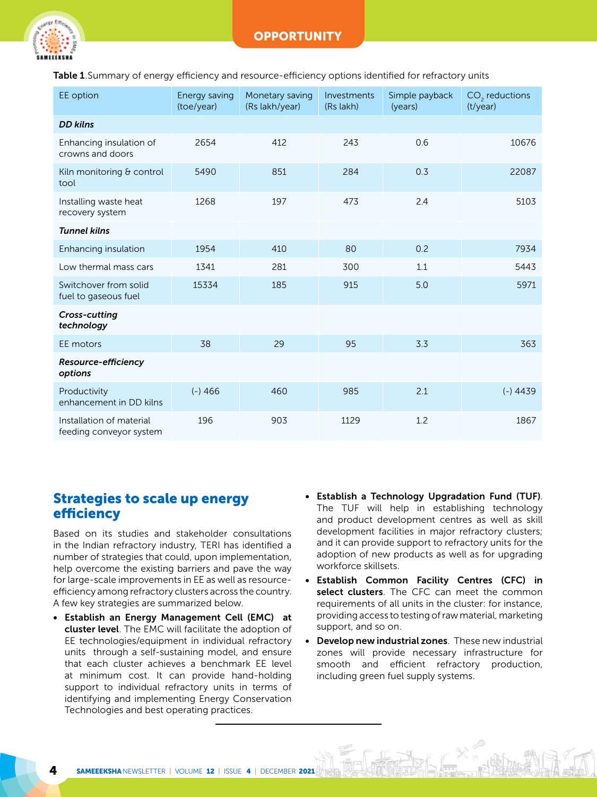Table 1. Summary of energy efficiency and resource-efficiency options identified for refractory units

| EE option                                           | Energy saving<br>(toe/year) | Monetary saving<br>(Rs lakh/year) | Investments<br>(Rs lakh) | Simple payback<br>(years) | CO <sub>2</sub> reductions<br>(t/year) |
|-----------------------------------------------------|-----------------------------|-----------------------------------|--------------------------|---------------------------|----------------------------------------|
| <b>DD kilns</b>                                     |                             |                                   |                          |                           |                                        |
| Enhancing insulation of<br>crowns and doors         | 2654                        | 412                               | 243                      | 0.6                       | 10676                                  |
| Kiln monitoring & control<br>tool                   | 5490                        | 851                               | 284                      | 0.3                       | 22087                                  |
| Installing waste heat<br>recovery system            | 1268                        | 197                               | 473                      | 2.4                       | 5103                                   |
| <b>Tunnel kilns</b>                                 |                             |                                   |                          |                           |                                        |
| Enhancing insulation                                | 1954                        | 410                               | 80                       | 0.2                       | 7934                                   |
| Low thermal mass cars                               | 1341                        | 281                               | 300                      | 1.1                       | 5443                                   |
| Switchover from solid<br>fuel to gaseous fuel       | 15334                       | 185                               | 915                      | 5.0                       | 5971                                   |
| Cross-cutting<br>technology                         |                             |                                   |                          |                           |                                        |
| EE motors                                           | 38                          | 29                                | 95                       | 3.3                       | 363                                    |
| Resource-efficiency<br>options                      |                             |                                   |                          |                           |                                        |
| Productivity<br>enhancement in DD kilns             | $(-)466$                    | 460                               | 985                      | 2.1                       | $(-)4439$                              |
| Installation of material<br>feeding conveyor system | 196                         | 903                               | 1129                     | 1.2                       | 1867                                   |

## Strategies to scale up energy efficiency

Based on its studies and stakeholder consultations in the Indian refractory industry, TERI has identified a number of strategies that could, upon implementation, help overcome the existing barriers and pave the way for large-scale improvements in EE as well as resourceefficiency among refractory clusters across the country. A few key strategies are summarized below.

- Establish an Energy Management Cell (EMC) at cluster level. The EMC will facilitate the adoption of EE technologies/equipment in individual refractory units through a self-sustaining model, and ensure that each cluster achieves a benchmark EE level at minimum cost. It can provide hand-holding support to individual refractory units in terms of identifying and implementing Energy Conservation Technologies and best operating practices.
- Establish a Technology Upgradation Fund (TUF). The TUF will help in establishing technology and product development centres as well as skill development facilities in major refractory clusters; and it can provide support to refractory units for the adoption of new products as well as for upgrading workforce skillsets.
- Establish Common Facility Centres (CFC) in select clusters. The CFC can meet the common requirements of all units in the cluster: for instance, providing access to testing of raw material, marketing support, and so on.
- Develop new industrial zones. These new industrial zones will provide necessary infrastructure for smooth and efficient refractory production, including green fuel supply systems.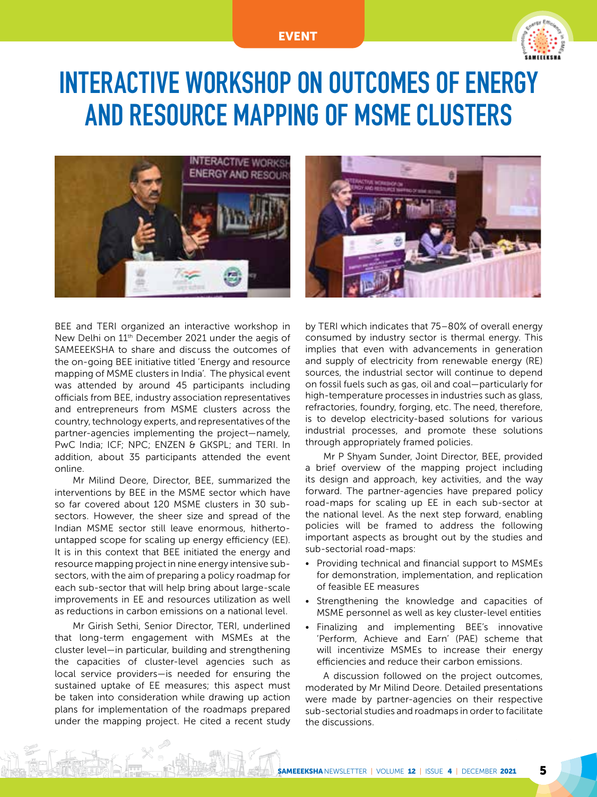#### EVENT



## INTERACTIVE WORKSHOP ON OUTCOMES OF ENERGY AND RESOURCE MAPPING OF MSME CLUSTERS





BEE and TERI organized an interactive workshop in New Delhi on 11th December 2021 under the aegis of SAMEEEKSHA to share and discuss the outcomes of the on-going BEE initiative titled 'Energy and resource mapping of MSME clusters in India'. The physical event was attended by around 45 participants including officials from BEE, industry association representatives and entrepreneurs from MSME clusters across the country, technology experts, and representatives of the partner-agencies implementing the project—namely, PwC India; ICF; NPC; ENZEN & GKSPL; and TERI. In addition, about 35 participants attended the event online.

Mr Milind Deore, Director, BEE, summarized the interventions by BEE in the MSME sector which have so far covered about 120 MSME clusters in 30 subsectors. However, the sheer size and spread of the Indian MSME sector still leave enormous, hithertountapped scope for scaling up energy efficiency (EE). It is in this context that BEE initiated the energy and resource mapping project in nine energy intensive subsectors, with the aim of preparing a policy roadmap for each sub-sector that will help bring about large-scale improvements in EE and resources utilization as well as reductions in carbon emissions on a national level.

Mr Girish Sethi, Senior Director, TERI, underlined that long-term engagement with MSMEs at the cluster level—in particular, building and strengthening the capacities of cluster-level agencies such as local service providers—is needed for ensuring the sustained uptake of EE measures; this aspect must be taken into consideration while drawing up action plans for implementation of the roadmaps prepared under the mapping project. He cited a recent study by TERI which indicates that 75–80% of overall energy consumed by industry sector is thermal energy. This implies that even with advancements in generation and supply of electricity from renewable energy (RE) sources, the industrial sector will continue to depend on fossil fuels such as gas, oil and coal—particularly for high-temperature processes in industries such as glass, refractories, foundry, forging, etc. The need, therefore, is to develop electricity-based solutions for various industrial processes, and promote these solutions through appropriately framed policies.

Mr P Shyam Sunder, Joint Director, BEE, provided a brief overview of the mapping project including its design and approach, key activities, and the way forward. The partner-agencies have prepared policy road-maps for scaling up EE in each sub-sector at the national level. As the next step forward, enabling policies will be framed to address the following important aspects as brought out by the studies and sub-sectorial road-maps:

- Providing technical and financial support to MSMEs for demonstration, implementation, and replication of feasible EE measures
- Strengthening the knowledge and capacities of MSME personnel as well as key cluster-level entities
- Finalizing and implementing BEE's innovative 'Perform, Achieve and Earn' (PAE) scheme that will incentivize MSMEs to increase their energy efficiencies and reduce their carbon emissions.

A discussion followed on the project outcomes, moderated by Mr Milind Deore. Detailed presentations were made by partner-agencies on their respective sub-sectorial studies and roadmaps in order to facilitate the discussions.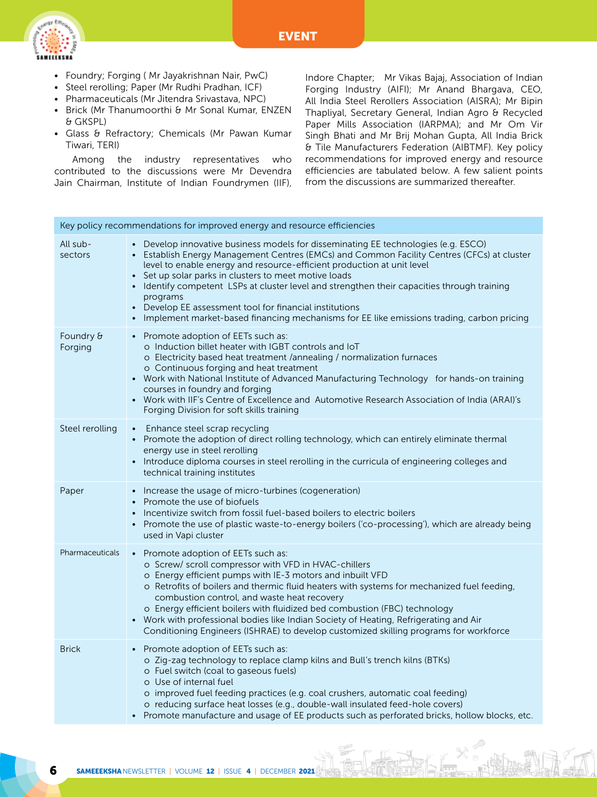

- Foundry; Forging ( Mr Jayakrishnan Nair, PwC)
- Steel rerolling; Paper (Mr Rudhi Pradhan, ICF)
- Pharmaceuticals (Mr Jitendra Srivastava, NPC)
- Brick (Mr Thanumoorthi & Mr Sonal Kumar, ENZEN & GKSPL)
- Glass & Refractory; Chemicals (Mr Pawan Kumar Tiwari, TERI)

Among the industry representatives who contributed to the discussions were Mr Devendra Jain Chairman, Institute of Indian Foundrymen (IIF), Indore Chapter; Mr Vikas Bajaj, Association of Indian Forging Industry (AIFI); Mr Anand Bhargava, CEO, All India Steel Rerollers Association (AISRA); Mr Bipin Thapliyal, Secretary General, Indian Agro & Recycled Paper Mills Association (IARPMA); and Mr Om Vir Singh Bhati and Mr Brij Mohan Gupta, All India Brick & Tile Manufacturers Federation (AIBTMF). Key policy recommendations for improved energy and resource efficiencies are tabulated below. A few salient points from the discussions are summarized thereafter.

|                      | Key policy recommendations for improved energy and resource efficiencies                                                                                                                                                                                                                                                                                                                                                                                                                                                                                                                 |  |  |  |  |
|----------------------|------------------------------------------------------------------------------------------------------------------------------------------------------------------------------------------------------------------------------------------------------------------------------------------------------------------------------------------------------------------------------------------------------------------------------------------------------------------------------------------------------------------------------------------------------------------------------------------|--|--|--|--|
| All sub-<br>sectors  | • Develop innovative business models for disseminating EE technologies (e.g. ESCO)<br>• Establish Energy Management Centres (EMCs) and Common Facility Centres (CFCs) at cluster<br>level to enable energy and resource-efficient production at unit level<br>• Set up solar parks in clusters to meet motive loads<br>• Identify competent LSPs at cluster level and strengthen their capacities through training<br>programs<br>• Develop EE assessment tool for financial institutions<br>• Implement market-based financing mechanisms for EE like emissions trading, carbon pricing |  |  |  |  |
| Foundry &<br>Forging | • Promote adoption of EETs such as:<br>o Induction billet heater with IGBT controls and IoT<br>o Electricity based heat treatment /annealing / normalization furnaces<br>o Continuous forging and heat treatment<br>• Work with National Institute of Advanced Manufacturing Technology for hands-on training<br>courses in foundry and forging<br>• Work with IIF's Centre of Excellence and Automotive Research Association of India (ARAI)'s<br>Forging Division for soft skills training                                                                                             |  |  |  |  |
| Steel rerolling      | • Enhance steel scrap recycling<br>Promote the adoption of direct rolling technology, which can entirely eliminate thermal<br>energy use in steel rerolling<br>Introduce diploma courses in steel rerolling in the curricula of engineering colleges and<br>technical training institutes                                                                                                                                                                                                                                                                                                |  |  |  |  |
| Paper                | • Increase the usage of micro-turbines (cogeneration)<br>• Promote the use of biofuels<br>• Incentivize switch from fossil fuel-based boilers to electric boilers<br>• Promote the use of plastic waste-to-energy boilers ('co-processing'), which are already being<br>used in Vapi cluster                                                                                                                                                                                                                                                                                             |  |  |  |  |
| Pharmaceuticals      | • Promote adoption of EETs such as:<br>o Screw/ scroll compressor with VFD in HVAC-chillers<br>o Energy efficient pumps with IE-3 motors and inbuilt VFD<br>o Retrofits of boilers and thermic fluid heaters with systems for mechanized fuel feeding,<br>combustion control, and waste heat recovery<br>o Energy efficient boilers with fluidized bed combustion (FBC) technology<br>Work with professional bodies like Indian Society of Heating, Refrigerating and Air<br>$\bullet$<br>Conditioning Engineers (ISHRAE) to develop customized skilling programs for workforce          |  |  |  |  |
| <b>Brick</b>         | • Promote adoption of EETs such as:<br>o Zig-zag technology to replace clamp kilns and Bull's trench kilns (BTKs)<br>o Fuel switch (coal to gaseous fuels)<br>o Use of internal fuel<br>o improved fuel feeding practices (e.g. coal crushers, automatic coal feeding)<br>o reducing surface heat losses (e.g., double-wall insulated feed-hole covers)<br>Promote manufacture and usage of EE products such as perforated bricks, hollow blocks, etc.                                                                                                                                   |  |  |  |  |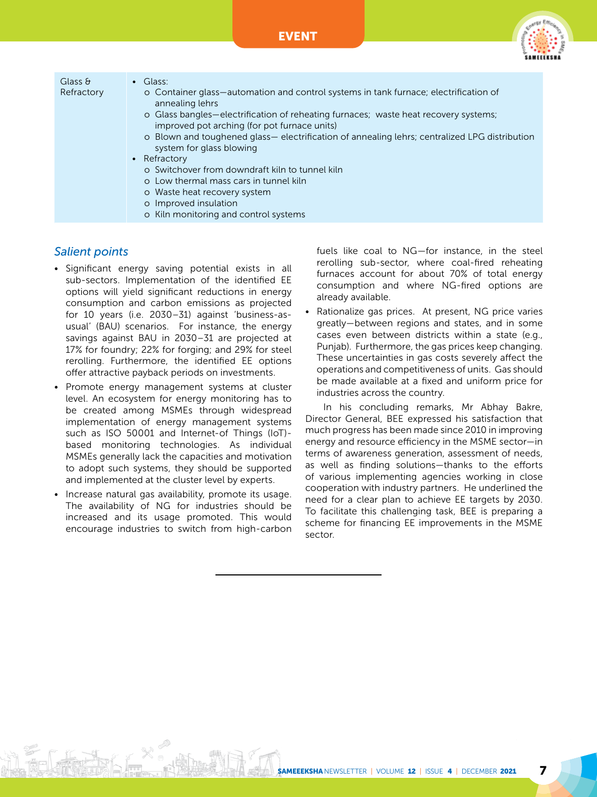

| Glass $\theta$<br>Refractory | $\bullet$ Glass:<br>o Container glass—automation and control systems in tank furnace; electrification of<br>annealing lehrs<br>o Glass bangles—electrification of reheating furnaces; waste heat recovery systems;<br>improved pot arching (for pot furnace units) |  |  |
|------------------------------|--------------------------------------------------------------------------------------------------------------------------------------------------------------------------------------------------------------------------------------------------------------------|--|--|
|                              | o Blown and toughened glass— electrification of annealing lehrs; centralized LPG distribution<br>system for glass blowing                                                                                                                                          |  |  |
|                              | • Refractory                                                                                                                                                                                                                                                       |  |  |
|                              | o Switchover from downdraft kiln to tunnel kiln                                                                                                                                                                                                                    |  |  |
|                              | o Low thermal mass cars in tunnel kiln                                                                                                                                                                                                                             |  |  |
|                              | o Waste heat recovery system                                                                                                                                                                                                                                       |  |  |
|                              | o Improved insulation                                                                                                                                                                                                                                              |  |  |
|                              | o Kiln monitoring and control systems                                                                                                                                                                                                                              |  |  |

### *Salient points*

- Significant energy saving potential exists in all sub-sectors. Implementation of the identified EE options will yield significant reductions in energy consumption and carbon emissions as projected for 10 years (i.e. 2030–31) against 'business-asusual' (BAU) scenarios. For instance, the energy savings against BAU in 2030–31 are projected at 17% for foundry; 22% for forging; and 29% for steel rerolling. Furthermore, the identified EE options offer attractive payback periods on investments.
- Promote energy management systems at cluster level. An ecosystem for energy monitoring has to be created among MSMEs through widespread implementation of energy management systems such as ISO 50001 and Internet-of Things (IoT) based monitoring technologies. As individual MSMEs generally lack the capacities and motivation to adopt such systems, they should be supported and implemented at the cluster level by experts.
- Increase natural gas availability, promote its usage. The availability of NG for industries should be increased and its usage promoted. This would encourage industries to switch from high-carbon

fuels like coal to NG—for instance, in the steel rerolling sub-sector, where coal-fired reheating furnaces account for about 70% of total energy consumption and where NG-fired options are already available.

Rationalize gas prices. At present, NG price varies greatly—between regions and states, and in some cases even between districts within a state (e.g., Punjab). Furthermore, the gas prices keep changing. These uncertainties in gas costs severely affect the operations and competitiveness of units. Gas should be made available at a fixed and uniform price for industries across the country.

In his concluding remarks, Mr Abhay Bakre, Director General, BEE expressed his satisfaction that much progress has been made since 2010 in improving energy and resource efficiency in the MSME sector—in terms of awareness generation, assessment of needs, as well as finding solutions—thanks to the efforts of various implementing agencies working in close cooperation with industry partners. He underlined the need for a clear plan to achieve EE targets by 2030. To facilitate this challenging task, BEE is preparing a scheme for financing EE improvements in the MSME sector.